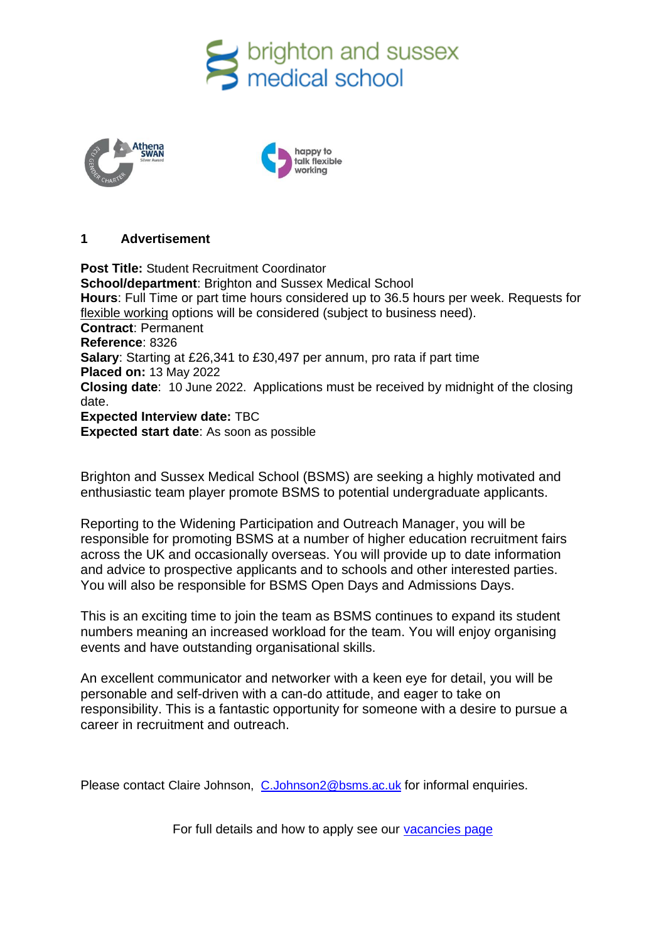





#### **1 Advertisement**

**Post Title:** Student Recruitment Coordinator **School/department**: Brighton and Sussex Medical School **Hours**: Full Time or part time hours considered up to 36.5 hours per week. Requests for [flexible working](http://www.sussex.ac.uk/humanresources/personnel/flexible-working) options will be considered (subject to business need). **Contract**: Permanent **Reference**: 8326 **Salary**: Starting at £26,341 to £30,497 per annum, pro rata if part time **Placed on:** 13 May 2022 **Closing date**: 10 June 2022. Applications must be received by midnight of the closing date. **Expected Interview date:** TBC **Expected start date**: As soon as possible

Brighton and Sussex Medical School (BSMS) are seeking a highly motivated and enthusiastic team player promote BSMS to potential undergraduate applicants.

Reporting to the Widening Participation and Outreach Manager, you will be responsible for promoting BSMS at a number of higher education recruitment fairs across the UK and occasionally overseas. You will provide up to date information and advice to prospective applicants and to schools and other interested parties. You will also be responsible for BSMS Open Days and Admissions Days.

This is an exciting time to join the team as BSMS continues to expand its student numbers meaning an increased workload for the team. You will enjoy organising events and have outstanding organisational skills.

An excellent communicator and networker with a keen eye for detail, you will be personable and self-driven with a can-do attitude, and eager to take on responsibility. This is a fantastic opportunity for someone with a desire to pursue a career in recruitment and outreach.

Please contact Claire Johnson, [C.Johnson2@bsms.ac.uk](mailto:C.Johnson2@bsms.ac.uk) for informal enquiries.

For full details and how to apply see our [vacancies page](http://www.sussex.ac.uk/about/jobs)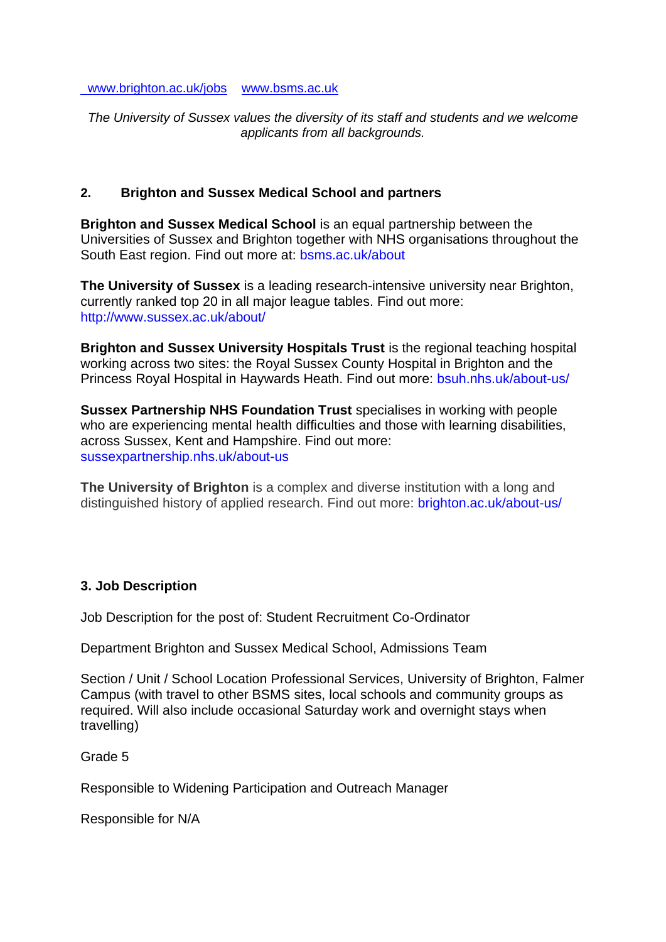[www.brighton.ac.uk/jobs](http://www.brighton.ac.uk/jobs) [www.bsms.ac.uk](http://www.bsms.ac.uk/)

*The University of Sussex values the diversity of its staff and students and we welcome applicants from all backgrounds.*

#### **2. Brighton and Sussex Medical School and partners**

**Brighton and Sussex Medical School** is an equal partnership between the Universities of Sussex and Brighton together with NHS organisations throughout the South East region. Find out more at: bsms.ac.uk/about

**The University of Sussex** is a leading research-intensive university near Brighton, currently ranked top 20 in all major league tables. Find out more: http://www.sussex.ac.uk/about/

**Brighton and Sussex University Hospitals Trust** is the regional teaching hospital working across two sites: the Royal Sussex County Hospital in Brighton and the Princess Royal Hospital in Haywards Heath. Find out more: bsuh.nhs.uk/about-us/

**Sussex Partnership NHS Foundation Trust** specialises in working with people who are experiencing mental health difficulties and those with learning disabilities, across Sussex, Kent and Hampshire. Find out more: sussexpartnership.nhs.uk/about-us

**The University of Brighton** is a complex and diverse institution with a long and distinguished history of applied research. Find out more: brighton.ac.uk/about-us/

#### **3. Job Description**

Job Description for the post of: Student Recruitment Co-Ordinator

Department Brighton and Sussex Medical School, Admissions Team

Section / Unit / School Location Professional Services, University of Brighton, Falmer Campus (with travel to other BSMS sites, local schools and community groups as required. Will also include occasional Saturday work and overnight stays when travelling)

Grade 5

Responsible to Widening Participation and Outreach Manager

Responsible for N/A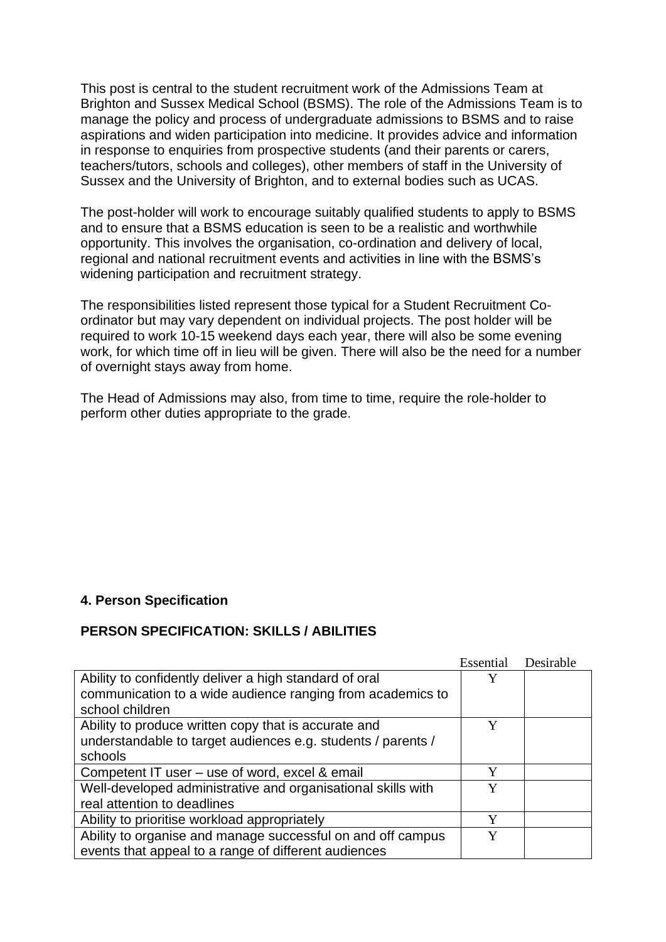This post is central to the student recruitment work of the Admissions Team at Brighton and Sussex Medical School (BSMS). The role of the Admissions Team is to manage the policy and process of undergraduate admissions to BSMS and to raise aspirations and widen participation into medicine. It provides advice and information in response to enquiries from prospective students (and their parents or carers, teachers/tutors, schools and colleges), other members of staff in the University of Sussex and the University of Brighton, and to external bodies such as UCAS.

The post-holder will work to encourage suitably qualified students to apply to BSMS and to ensure that a BSMS education is seen to be a realistic and worthwhile opportunity. This involves the organisation, co-ordination and delivery of local, regional and national recruitment events and activities in line with the BSMS's widening participation and recruitment strategy.

The responsibilities listed represent those typical for a Student Recruitment Coordinator but may vary dependent on individual projects. The post holder will be required to work 10-15 weekend days each year, there will also be some evening work, for which time off in lieu will be given. There will also be the need for a number of overnight stays away from home.

The Head of Admissions may also, from time to time, require the role-holder to perform other duties appropriate to the grade.

## **4. Person Specification**

#### **PERSON SPECIFICATION: SKILLS / ABILITIES**

|                                                              | Essential | Desirable |
|--------------------------------------------------------------|-----------|-----------|
| Ability to confidently deliver a high standard of oral       | Y         |           |
| communication to a wide audience ranging from academics to   |           |           |
| school children                                              |           |           |
| Ability to produce written copy that is accurate and         | Y         |           |
| understandable to target audiences e.g. students / parents / |           |           |
| schools                                                      |           |           |
| Competent IT user – use of word, excel & email               | Y         |           |
| Well-developed administrative and organisational skills with | Y         |           |
| real attention to deadlines                                  |           |           |
| Ability to prioritise workload appropriately                 | Y         |           |
| Ability to organise and manage successful on and off campus  | Y         |           |
| events that appeal to a range of different audiences         |           |           |